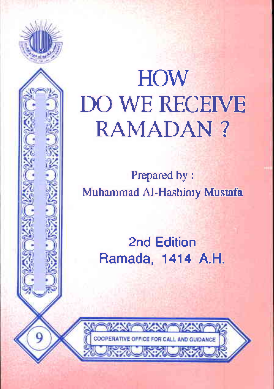

# **HOW DO WE RECEIVE RAMADAN?**

Prepared by: Muhammad Al-Hashimy Mustafa

> 2nd Edition Ramada, 1414 A.H.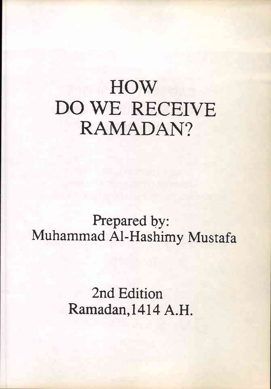## **HOW** DO WE RECEIVE RAMADAN?

Prepared by: Muhammad AI-Hashimy Mustafa

> 2nd Edition Ramadan, 1414 A.H.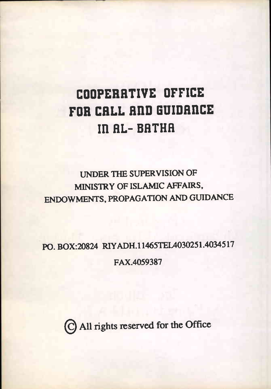### **COOPERRTIVE OFFICE FOR CRLL RnD GUIDRnCE In RL- BRTRR**

#### UNDER TIlE SUPERVISION OF MlNISTRY OF ISLAMIC AFFAIRS. ENOOWMENTS. PROPAGATION AND GUIDANCE

PO. BOX:20824 RIYADH.11465TEIA030251.4034517 FAX.4059387

©All rights reserved for the Office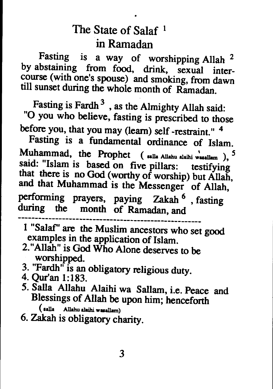#### The State of Salaf<sup>1</sup> in Ramadan

Fasting is <sup>a</sup> way of worshipping Allah <sup>2</sup> by abstaining from food, drink, sexual intercourse (with one's spouse) and smoking, from dawn till sunset during the whole month of Ramadan.

Fasting is Fardh<sup>3</sup>, as the Almighty Allah said: "0 you who believe, fasting is prescribed to those before you, that you may (learn) self -restraint." <sup>4</sup>

Fasting is <sup>a</sup> fundamental ordinance of Islam. Muhammad, the Prophet  $($  salla Allahu alaihi wasallam),  $^5$ said: "Islam is based on five <sup>p</sup>illars: testifying that there is no God (worthy of worship) but Allah, and that Muhammad is the Messenger of Allah, performing prayers, paying Zakah <sup>6</sup> , fasting during the month of Ramadan, and

<sup>1</sup> "Salaf' are the Muslim ancestors who set good examples in the application of Islam.

- 2."Allah" is God Who Alone deserves to be worshipped.
- 3. "Fardh" is an obligatory religious duty. 4. Qur'an 1:183.
- 
- 5. Salla Allahu Alaihi wa Sallam, i.e. Peace and Blessings of Allah be upon him; henceforth
	- ( salla Allahu alaihi wasallam)
- 6. Zakah is obligatory charity.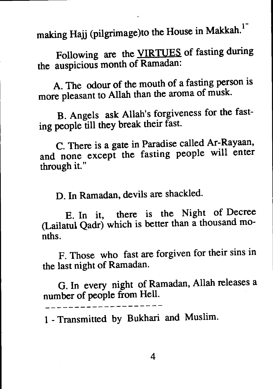making Hajj (pilgrimage)to the House in Makkah.<sup>1</sup>

Following are the VIRTUES of fasting during the auspicious month of Ramadan:

A. The odour of the mouth of <sup>a</sup> fasting person is more <sup>p</sup>leasant to Allah than the aroma of musk.

B. Angels ask Allah's forgiveness for the fasting people till they break their fast.

C. There is <sup>a</sup> gate in Paradise called Ar-Rayaan, and none excep<sup>t</sup> the fasting people will enter through it. "

D. In Ramadan, devils are shackled.

E. In it, there is the Night of Decree (Lailatul Qadr) which is better than <sup>a</sup> thousand months.

F. Those who fast are forgiven for their sins in the last night of Ramadan.

G. In every night of Ramadan, Allah releases <sup>a</sup> number of people from Hell.

<sup>1</sup> - Transmitted by Bukhari and Muslim.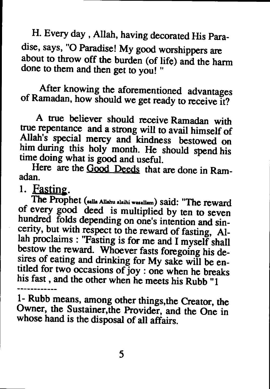H. Every day , Allah, having decorated His Paradise, says, "0 Paradise! My good worshippers are about to throw off the burden (of life) and the hann done to them and then get to you! "

After knowing the aforementioned advantages of Ramadan, how should we get ready to receive it?

<sup>A</sup> true believer should receive Ramadan with true repentance and a strong will to avail himself of Allah's special mercy and kindness bestowed on him during this holy month. He should spend his time doing what is good and useful.

Here are the Good Deeds that are done in Ram-

1. Fasting.<br>The Prophet (salla Allahu alaihi wasallam) said: "The reward of every good deed is multiplied by ten to seven hundred folds depending on one's intention and sincerity, but with respect to the reward of fasting, Allah proclaims : "Fasting is for me and <sup>I</sup> myself shall bestow the reward. Whoever fasts foregoing his desires of eating and drinking for My sake will be entitled for two occasions of joy : one when he breaks his fast, and the other when he meets his Rubb "1

1- Rubb means, among other things, the Creator, the Owner, the Sustainer, the Provider, and the One in whose hand is the disposal of all affairs.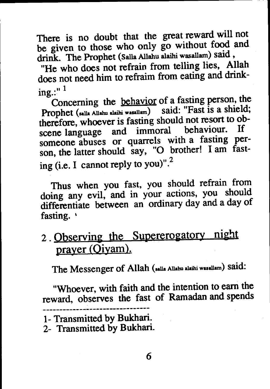There is no doubt that the grea<sup>t</sup> reward will not be <sup>g</sup>iven to those who only go without food and drink. The Prophet (Salla Allahu alaihi wasallam) said,

"He who does not refrain from telling lies, Allah does not need him to refraim from eating and drink $ine: "1$ 

Concerning the behavior of <sup>a</sup> fasting person, the Prophet (salla Allahu alaihi wasallam) said: "Fast is a shield; therefore, whoever is fasting should not resort to obscene language and immoral behaviour. If someone abuses or quarrels with <sup>a</sup> fasting person, the latter should say, "O brother! I am fasting (i.e. I cannot reply to you)". $^{2}$ 

Thus when you fast, you should refrain from doing any evil, and in your actions, you should differentiate between an ordinary day and <sup>a</sup> day of fasting. '

<sup>2</sup> . Observing the Supererogatory night prayer (Qiyam).

The Messenger of Allah (salla Allahu alaihi wasallam) Said:

"Whoever, with faith and the intention to earn the reward, observes the fast of Ramadan and spends

<sup>1-</sup> Transmitted by Bukhari.

<sup>2-</sup> Transmitted by Bukhari.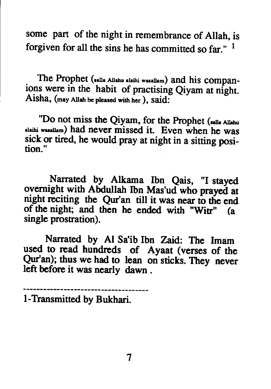some part of the night in remembrance of Allah, is forgiven for all the sins he has committed so far."  $<sup>1</sup>$ </sup>

The Prophet (salla Allahu alaihi wasallam) and his companions were in the habit of practising Qiyam at night. Aisha, (may Allah be pleased with her ), said:

"Do not miss the Qiyam, for the Prophet (salla Allahu alaihi wual1am) had never missed it. Even when he was sick or tired, he would pray at night in a sitting position."

Narrated by Alkama Ibn Qais, "I stayed overnight with Abdullah Ibn Mas'ud who prayed at night reciting the Qur'an till it was near to the end of the night; and then he ended with "Witr" (a single prostration).

Narrated by Al Sa'ib Ibn Zaid: The Imam used to read hundreds of Ayaat (verses of the Qur'an); thus we had to lean on sticks. They never left before it was nearly dawn.

I-Transmitted by Bukhari.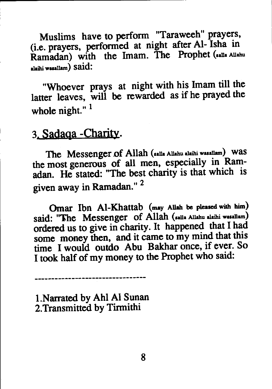Muslims have to perform "Taraweeh" prayers, (i.e. prayers, performed at night after Al- Isha in Ramadan) with the Imam. The Prophet (salla Allahu alaihi wasallam) Said:

"Whoever prays at night with his Imam till the latter leaves, will be rewarded as if he praye<sup>d</sup> the whole night."<sup>1</sup>

#### 3. Sadaga -Charity.

The Messenger of Allah (salla Allahu alaihi wasallam) was the most generous of all men, especially in Ramadan. He stated: "The best charity is that which is <sup>g</sup>iven away in Ramadan." <sup>2</sup>

Omar Ibn Al-Khattab (may Allah be pleased with him) said: "The Messenger of Allah (salla Allahu alaihi wasallam) ordered us to <sup>g</sup>ive in charity. It happened that <sup>I</sup> had some money then, and it came to my mind that this time <sup>I</sup> would outdo Abu Bakhar once, if ever. So I took half of my money to the Prophet who said:

l.Narrated by Ahl Al Sunan 2.Transmitted by Tirmithi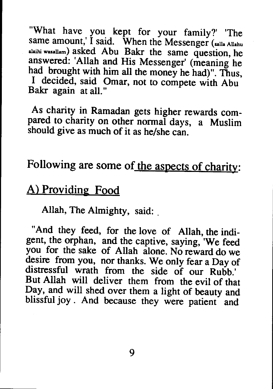"What have you kept for your family?' 'The same amount,' I said. When the Messenger (salla Allahu alaihi wasallam) asked Abu Bakr the same question, he answered: 'Allah and His Messenger' (meaning he had brought with him all the money he had)". Thus, I decided, said Omar, not to compete with Abu Bakr again at all."

As charity in Ramadan gets higher rewards compared to charity on other normal days, a Muslim should give as much of it as he/she can.

#### Following are some of the aspects of charity:

#### A) Providing Food

Allah, The Almighty, said:

"And they feed, for the love of Allah, the indigent, the orphan, and the captive, saying, 'We feed you for the sake of Allah alone. No reward do we desire from you, nor thanks. We only fear a Day of distressful wrath from the side of our Rubb.' But Allah will deliver them from the evil of that Day, and will shed over them a light of beauty and blissful joy. And because they were patient and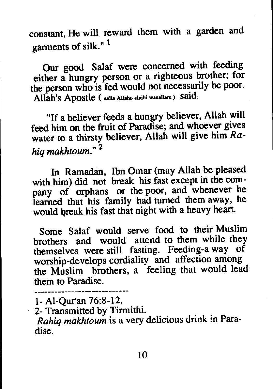constant, He will reward them with a garden and garments of silk."<sup>1</sup>

Our good Salaf were concerned with feeding either a hungry person or a righteous brother; for the person who is fed would not necessarily be poor. Allah's Apostle ( salla Allahu alaihi wasallam ) said:

"If a believer feeds a hungry believer, Allah will feed him on the fruit of Paradise; and whoever gives water to a thirsty believer, Allah will give him *Rahiq makhtoum." 2*

In Ramadan, Ibn Omar (may Allah be pleased with him) did not break his fast except in the company of orphans or the poor, and whenever he learned that his family had turned them away, he would break his fast that night with a heavy heart.

Some Salaf would serve food to their Muslim brothers and would attend to them while they themselves were still fasting. Feeding-a way of worship-develops cordiality and affection among the Muslim brothers, a feeling that would lead them to Paradise.

- 1- AI-Qur'an 76:8-12.
- 2- Transmitted by Tirmithi.

*Rahiq makhtoum* is a very delicious drink in Paradise.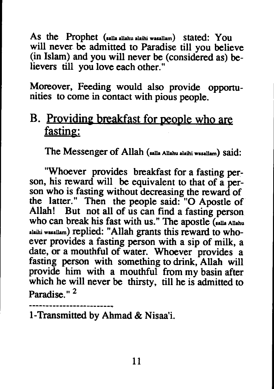As the Prophet (salla allahu alaihi wasallam) stated: You will never be admitted to Paradise till you believe (in Islam) and you will never be (considered as) believers till you love each other."

Moreover, Feeding would also provide opportunities to come in contact with pious people.

#### B. Providing breakfast for people who are fasting:

The Messenger of Allah (salla Allahu alaihi wasallam) said:

"Whoever provides breakfast for a fasting person, his reward will be equivalent to that of a person who is fasting without decreasing the reward of the latter." Then the people said: "O Apostle of Allah! But not all of us can find a fasting person who can break his fast with us." The apostle (salla Allahu alaihi wasallam) replied: "Allah grants this reward to whoever provides a fasting person with a sip of milk, a date, or a mouthful of water. Whoever provides a fasting person with something to drink, Allah will provide him with a mouthful from my basin after which he will never be thirsty, till he is admitted to Paradise." 2

1-Transmitted by Ahmad & Nisaa'i.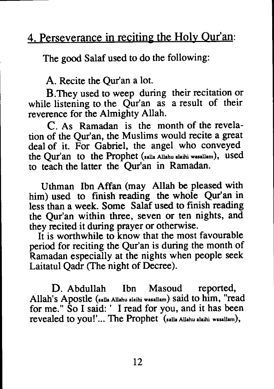#### 4. Perseverance in reciting the Holy Qur'an:

The good Salaf used to do the following:

A. Recite the Qur'an a lot.

B.They used to weep during their recitation or while listening to the Qur'an as a result of their reverence for the Almighty Allah.

C. As Ramadan is the month of the revelation of the Qur'an, the Muslims would recite a great deal of it. For Gabriel, the angel who conveyed the Qur'an to the Prophet (salla Allahu alaihi wasallam), used to teach the latter the Qur'an in Ramadan.

Uthman Ibn Affan (may Allah be pleased with him) used to finish reading the whole Qur'an in less than a week. Some Salaf used to finish reading the Qur'an within three, seven or ten nights, and they recited it during prayer or otherwise.

It is worthwhile to know that the most favourable period for reciting the Qur'an is during the month of Ramadan especially at the nights when people seek Laitatul Qadr (The night of Decree).

D. Abdullah Ibn Masoud reported, Allah's Apostle (salla Allahu alaihi wasallam) said to him, "read for me." So I said:' I read for you, and it has been revealed to you!'... The Prophet (salla Allahu alaihi wasallam),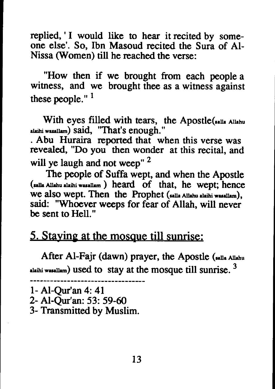replied, 'I would like to hear it recited by someone else'. So, Ibn Masoud recited the Sura of AI-Nissa (Women) till he reached the verse:

"How then if we brought from each people a witness, and we brought thee as a witness against these people." $<sup>1</sup>$ </sup>

With eyes filled with tears, the Apostle(\*\*1la Allahu alalahu alalahu alalahu alalahu 31 Said, "That's enough."

. Abu Huraira reported that when this verse was revealed, "Do you then wonder at this recital, and will ye laugh and not weep" <sup>2</sup>

The people of Suffa wept, and when the Apostle (salla AIlahu alaihi wuallam) heard of that, he wept; hence we also wept. Then the Prophet (salla AIlahu alaihi waaa1lam), said: "Whoever weeps for fear of Allah, will never be sent to Hell."

#### 5. Staying at the mosque till sunrise:

After AI-Fajr (dawn) prayer, the Apostle (sa11. AIlahu alaihi wasallam) used to stay at the mosque till sunrise.  $3$ 

```
1- AI-Qur'an 4: 41
```
- 2- AI-Qur'an: 53: 59-60
- 3- Transmitted by Muslim.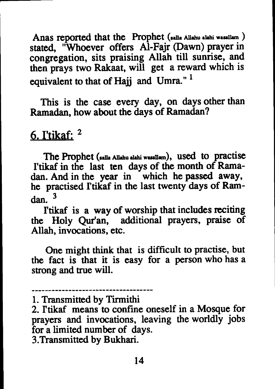Anas reported that the Prophet (salla Allahu alahi wasallam) stated, "Whoever offers AI-Fajr (Dawn) prayer in congregation, sits praising Allah till sunrise, and then prays two Rakaat, will get a reward which is equivalent to that of Hajj and Umra."<sup>1</sup>

This is the case every day, on days other than Ramadan, how about the days of Ramadan?

#### 6. I'tikaf:  $2$

The Prophet (ulla AIlahu aIahi waaaIlam), used to practise I'tikaf in the last ten days of the month of Ramadan. And in the year in which he passed away, he practised I'tikaf in the last twenty days of Ramdan. 3

I'tikaf is a way of worship that includes reciting the Holy Qur'an, additional prayers, praise of Allah, invocations, etc.

One might think that is difficult to practise, but the fact is that it is easy for a person who has a strong and true will.

<sup>1.</sup> Transmitted by Tirmithi

<sup>2.</sup> I'tikaf means to confine oneself in a Mosque for prayers and invocations, leaving the worldly jobs for a limited number of days. 3.Transmitted by Bukhari.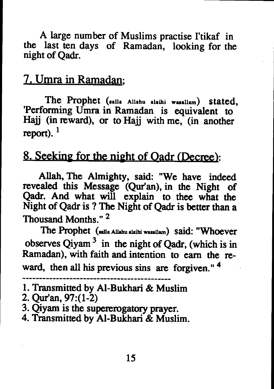A large number of Muslims practise I'tikaf in the last ten days of Ramadan, looking for the night of Qadr.

#### 7. Umra in Ramadan;

The Prophet  $(salla$  Allahu alaihi wasallam) stated, 'Performing Umra in Ramadan is equivalent to Haij (in reward), or to Hajj with me, (in another report).  $<sup>1</sup>$ </sup>

#### 8. Seeking for the night of Oadr (Decree):

Allah, The Almighty, said: "We have indeed revealed this Message (Qur'an), in the Night of Qadr. And what will explain to thee what the Night of Qadr is ? The Night of Qadr is better than a Thousand Months." 2

The Prophet (salla Allahu alaihi wasallam) said: "Whoever observes Qiyam  $3$  in the night of Qadr, (which is in Ramadan), with faith and intention to earn the reward, then all his previous sins are forgiven."<sup>4</sup>

2. Qur'an, 97:(1-2)

4. Transmitted by AI-Bukhari & Muslim.

<sup>1.</sup> Transmitted by AI-Bukhari & Muslim

<sup>3.</sup> Qiyam is the supererogatory prayer.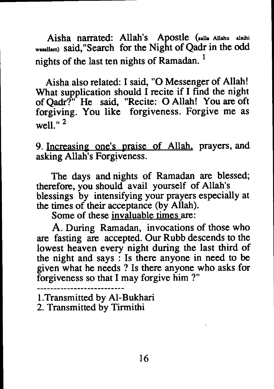Aisha narrated: Allah's Apostle (salla Allahu alaihi wuallam) said."Search for the Night of Qadr in the odd nights of the last ten nights of Ramadan.<sup>1</sup>

Aisha also related: I said. "0 Messenger of Allah! What supplication should I recite if I find the night of Qadr?" He said. "Recite: 0 Allah! You are oft forgiving. You like forgiveness. Forgive me as well." 2

9. Increasing one's praise of Allah. prayers. and asking Allah's Forgiveness.

The days and nights of Ramadan are blessed; therefore. you should avail yourself of Allah's blessings by intensifying your prayers especially at the times of their acceptance (by Allah).

Some of these invaluable times are:

A. During Ramadan. invocations of those who are fasting are accepted. Our Rubb descends to the lowest heaven every night during the last third of the night and says : Is there anyone in need to be given what he needs ? Is there anyone who asks for forgiveness so that I may forgive him ?"

l.Transmitted by AI-Bukhari

2. Transmitted by Tirmithi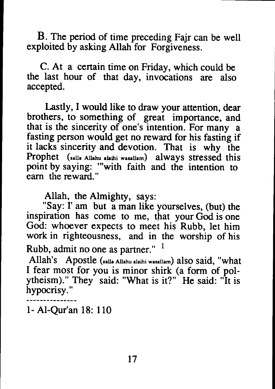B. The period of time preceding Fajr can be well exploited by asking Allah for Forgiveness.

C. At a certain time on Friday, which could be the last hour of that day, invocations are also accepted.

Lastly, I would like to draw your attention, dear brothers, to something of great importance, and that is the sincerity of one's intention. For many a fasting person would get no reward for his fasting if it lacks sincerity and devotion. That is why the Prophet (salla Allahu alaihi wasallam) always stressed this point by saying: "'with faith and the intention to earn the reward. "

Allah, the Almighty, says:

"Say: I' am but a man like yourselves, (but) the inspiration has come to me, that your God is one God: whoever expects to meet his Rubb, let him work in righteousness, and in the worship of his Rubb, admit no one as partner."  $1$ 

Allah's Apostle (salla Allahu alaihi wasallam) also said, "what I fear most for you is minor shirk (a form of polytheism)." They said: "What is it?" He said: "It is hypocrisy. "

1- AI-Qur'an 18: 110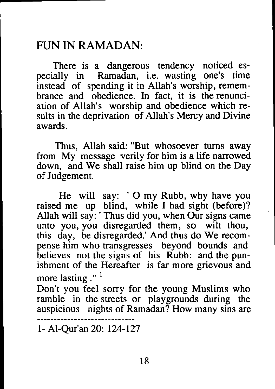#### FUN **IN** RAMADAN:

There is a dangerous tendency noticed es-<br>pecially in Ramadan, i.e. wasting one's time Ramadan, i.e. wasting one's time instead of spending it in Allah's worship, remembrance and obedience. In fact, it is the renunciation of Allah's worship and obedience which results in the deprivation of Allah's Mercy and Divine awards.

Thus, Allah said: "But whosoever turns away from My message verily for him is a life narrowed down, and We shall raise him up blind on the Day of Judgement.

He will say: '0 my Rubb, why have you raised me up blind, while I had sight (before)? Allah will say: ' Thus did you, when Our signs came unto you, you disregarded them, so wilt thou, this day, be disregarded.' And thus do We recompense him who transgresses beyond bounds and believes not the signs of his Rubb: and the punishment of the Hereafter is far more grievous and more lasting  $\cdot$ "<sup>1</sup>

Don't you feel sorry for the young Muslims who ramble in the streets or playgrounds during the auspicious nights of Ramadan? How many sins are

1- AI-Qur'an 20: 124-127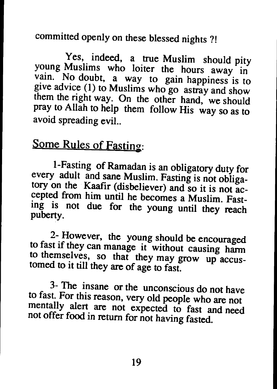committed openly on these blessed nights ?!

Yes, indeed, <sup>a</sup> true Muslim should <sup>p</sup>ity young Muslims who loiter the hours away in vain. No doubt, <sup>a</sup> way to gain happiness is to <sup>g</sup>ive advice (1) to Muslims who go astray and show them the right way. On the other hand, we should pray to Allah to help them follow His way so as to avoid spreading evil..

#### Some Rules of Fasting:

I-Fasting of Ramadan is an obligatory duty for every adult and sane Muslim. Fasting is not obligatory on the Kaafir (disbeliever) and so it is not accepted from him until he becomes <sup>a</sup> Muslim. Fasting is not due for the young until they reach puberty.

 $2$ - However, the young should be encouraged to fast if they can manage it without causing harm to themselves, so that they may grow up accustomed to it till they are of age to fast.

3- The insane or the unconscious do not have to fast. For this reason, very old people who are not mentally alert are not expected to fast and need not offer food in return for not having fasted.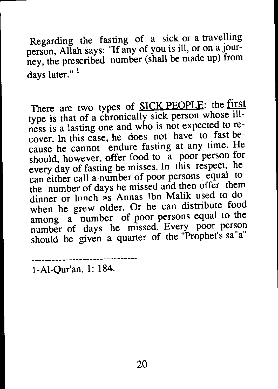Regarding the fasting of <sup>a</sup> sick or <sup>a</sup> travelling person, Allah says: "If any of you is ill, or on <sup>a</sup> journey, the prescribed number (shall be made up) from days later."<sup>1</sup>

There are two types of SICK PEOPLE: the first type is that of <sup>a</sup> chronically sick person whose illness is <sup>a</sup> lasting one and who is not expected to recover. In this case, he does not have to fast because he cannot endure fasting at any time. He should, however, offer food to a poor person for every day of fasting he misses. In this respect, he can either call a-number of poor persons equa<sup>l</sup> to the number of days he missed and then offer them dinner or lunch as Annas Ibn Malik used to do when he grew older. Or he can distribute food among a number of poor persons equal to the number of days he missed. Every poor person should be given a quarter of the "Prophet's sa"a"

1-AI-Qur'an, 1: 184.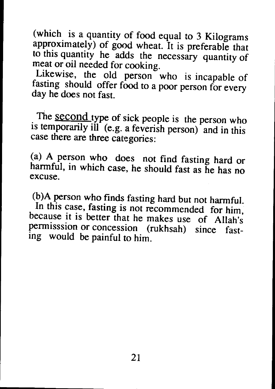(which is a quantity of food equal to 3 Kilograms approximately) of good wheat. It is preferable that to this quantity he adds the necessary quantity of meat or oil needed for cooking.

Likewise, the old person who is incapable of fasting should offer food to <sup>a</sup> poor person for every day he does not fast.

The second type of sick people is the person who is temporarily ill (e.g. a feverish person) and in this case there are three categories:

(a) A person who does not find fasting hard or harmful, in which case, he should fast as he has no excuse.

(b)A person who finds fasting hard but not harmful.

In this case, fasting is not recommended for him, because it is better that he makes use of Allah's permisssion or concession (rukhsah) since fasting would be painful to him.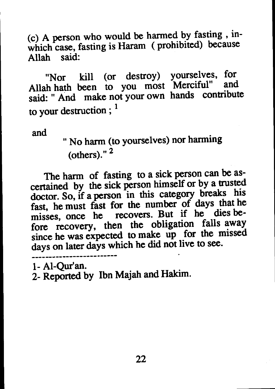(c) <sup>A</sup> person who would be harmed by fasting, inwhich case, fasting is Haram (prohibited) because Allah said:

"Nor kill (or destroy) yourselves, for Allah hath been to you most Merciful" said: " And make not your own hands contribute to your destruction;  $<sup>1</sup>$ </sup>

and

" No harm (to yourselves) nor harming (others)." <sup>2</sup>

The harm of fasting to a sick person can be ascertained by the sick person himself or by <sup>a</sup> trusted doctor. So, if <sup>a</sup> person in this category breaks his fast, he must fast for the number of days that he misses, once he recovers. But if he dies before recovery, then the obligation falls away since he was expected to make up for the missed days on later days which he did not live to see.

1- AI-Qur'an.

2- Reported by Ibn Majah and Hakim.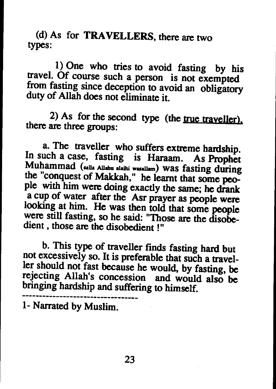(d) As for TRAVELLERS, there are two types:

1) One who tries to avoid fasting by his travel. Of course such a person is not exempted from fasting since deception to avoid an obligatory duty of Allah does not eliminate it.

2) As for the second type (the  $true$  traveller). there are three groups:

a. The traveller who suffers extreme hardship. In such <sup>a</sup> case, fasting is Haraam. As Prophet Muhammad (salla Allahu alaihi wasallam) was fasting during the "conquest of Makkah," he learnt that some peo<sup>p</sup>le with him were doing exactly the same; he drank <sup>a</sup> cup of water after the Asr prayer as people were looking at him. He was then told that some people were still fasting, so he said: "Those are the disobedient, those are the disobedient!"

b. This type of traveller finds fasting hard but not excessively so. It is preferable that such <sup>a</sup> traveller should not fast because he would, by fasting, be rejecting Allah's concession and would also be bringing hardship and suffering to himself.

1- Narrated by Muslim.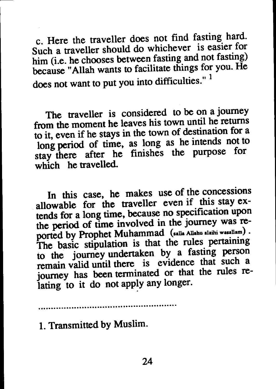c. Here the traveller does not find fasting hard. Such <sup>a</sup> traveller should do whichever is easier for him (i.e. he chooses between fasting and not fasting) because "Allah wants to facilitate things for you. He does not want to put you into difficulties."<sup>1</sup>

The traveller is considered to be on <sup>a</sup> journey from the moment he leaves his town until he returns to it, even if he stays in the town of destination for <sup>a</sup> long period of time, as long as he intends not to stay there after he finishes the purpose for which he travelled.

In this case, he makes use of the concessions allowable for the traveller even if this stay extends for <sup>a</sup> long time, because no specification upon the period of time involved in the journey was reported by Prophet Muhammad (salla Allahu alaihi wasallam) . The basic stipulation is that the rules pertaining to the journey undertaken by <sup>a</sup> fasting person remain valid until there is evidence that such <sup>a</sup> journey has been terminated or that the rules relating to it do not apply any longer.

1. Transmitted by Muslim.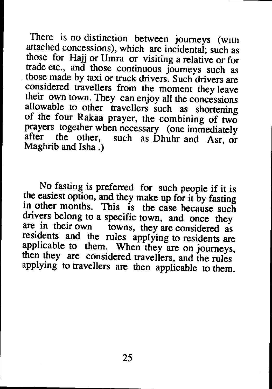There is no distinction between journeys (with attached concessions), which are incidental; such as those for Hajj or Umra or visiting a relative or for<br>trade etc., and those continuous journeys such as<br>those made by taxi or truck drivers. Such drivers are<br>considered travellers from the moment they leave<br>their own town. allowable to other travellers such as shortening of the four Rakaa prayer, the combining of two prayers together when necessary (one immediately after the other, such as Dhuhr and Asr, or Maghrib and Isha .)

No fasting is preferred for such people if it is the easiest option, and they make up for it by fasting in other months. This is the case because such drivers belong to a specific town, and once they are in their own towns, they are considered as residents and the rules applying to residents are applicable to them. When they are on journeys, then they are considered travellers, and the rules applying to travellers are then applicable to them.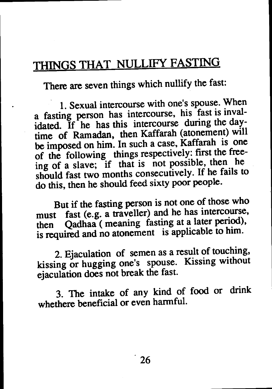### THINGS THAT NULLIFY FASTING

There are seven things which nullify the fast:

1. Sexual intercourse with one's spouse. When a fasting person has intercourse, his fast is invalidated. If he has this intercourse during the daytime of Ramadan, then Kaffarah (atonement) will be imposed on him. In such <sup>a</sup> case, Kaffarah is one of the following things respectively: first the freeing of <sup>a</sup> slave; if that is not possible, then he should fast two months consecutively. If he fails to do this, then he should feed sixty poor people.

But if the fasting person is not one of those who must fast (e.g. <sup>a</sup> traveller) and he has intercourse, then Qadhaa (meaning fasting at <sup>a</sup> later period), is required and no atonement is applicable to him.

2. Ejaculation of semen as <sup>a</sup> result of touching, kissing or hugging one's spouse. Kissing without ejaculation does not break the fast.

3. The intake of any kind of food or drink whethere beneficial or even harmful.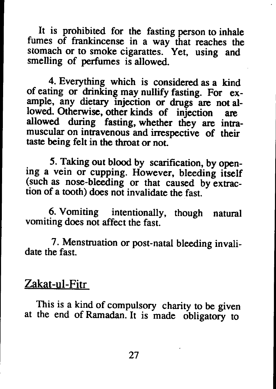It is prohibited for the fasting person to inhale fumes of frankincense in a way that reaches the stomach or to smoke cigarattes. Yet, using and smelling of perfumes is allowed.

4. Everything which is considered as a kind of eating or drinking may nullify fasting. For example, any dietary injection or drugs are not allowed. Otherwise, other kinds of injection are allowed during fasting, whether they are intramuscular on intravenous and irrespective of their taste being felt in the throat or not.

5. Taking out blood by scarification, by opening a vein or cupping. However, bleeding itself (such as nose-bleeding or that caused by extraction of a tooth) does not invalidate the fast.

6. Vomiting intentionally, though natural vomiting does not affect the fast.

7. Menstruation or post-natal bleeding invalidate the fast.

#### Zakat-ul-Fitr

This is a kind of compulsory charity to be given at the end of Ramadan. It is made obligatory to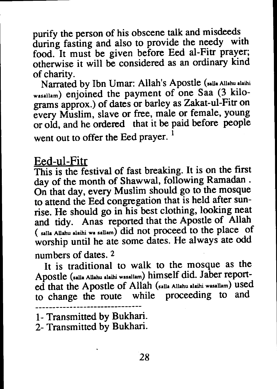purify the person of his obscene talk and misdeeds during fasting and also to provide the needy with food. It must be given before Eed al-Fitr prayer; otherwise it will be considered as an ordinary kind of charity.

Narrated by Ibn Umar: Allah's Apostle (salla Allahu alaihi wasallam) enjoined the payment of one Saa (3 kilograms approx.) of dates or barley as Zakat-ul-Fitr on every Muslim, slave or free, male or female, young or old, and he ordered that it be paid before people went out to offer the Eed prayer.<sup>1</sup>

#### Eed-ul-Fitr

This is the festival of fast breaking. It is on the first day of the month of Shawwal, following Ramadan. On that day, every Muslim should go to the mosque to attend the Eed congregation that is held after sunrise. He should go in his best clothing, looking neat and tidy. Anas reported that the Apostle of Allah ( salla Allahu alaihi wa sallam) did not proceed to the place of worship until he ate some dates. He always ate odd numbers of dates. 2

It is traditional to walk to the mosque as the Apostle (salla Allahu alaihi wasallam) himself did. Jaber reported that the Apostle of Allah (salla Allahu alaihi wasallam) used to change the route while proceeding to and

<sup>1-</sup> Transmitted by Bukhari.

<sup>2-</sup> Transmitted by Bukhari.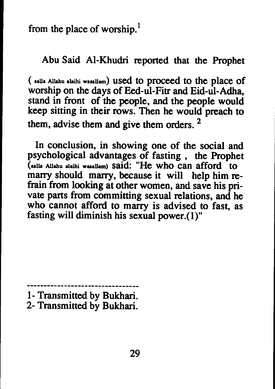from the place of worship.<sup>1</sup>

Abu Said AI-Khudri reported that the Prophet

( salla Allahu alaihi wasallam) used to proceed to the place of worship on the days of Eed-ul-Fitr and Eid-ul-Adha, stand in front of the people, and the people would keep sitting in their rows. Then he would preach to them, advise them and give them orders. 2

In conclusion, in showing one of the social and psychological advantages of fasting, the Prophet (aalla Allahu alaihi wuallam) said: "He who can afford to marry should marry, because it will help him refrain from looking at other women, and save his private parts from committing sexual relations, and he who cannot afford to marry is advised to fast, as fasting will diminish his sexual power.(1)"

<sup>1-</sup> Transmitted by Bukhari. 2- Transmitted by Bukhari.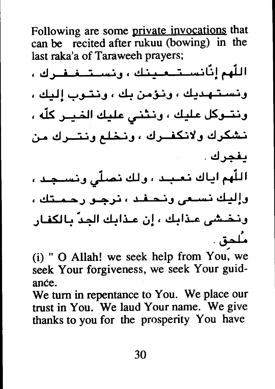Following are some private invocations that can be recited after rukuu (bowing) in the last raka'a of Taraweeh prayers;

اللَّهم إنَّانســتــعـينك ، ونســتــغـفـرك ، ونستشهديك ، ونؤمن بك ، ونشوب إليك ، ونتــوكل عليك ، ونـثني عليك الخـيـر كلّه ، نشكرك ولانكفرك ، ونخلع ونتسرك من يفجرك . اللّهم اياك نعبيد ، ولك نصلّى ونسيجيد ، وإليك نسلعي ونحلفله ، نرجلو رحملتك ، ونخشى عذابك ، إن عذابك الجدّ بالكفار مـُلدق .

(i) " O Allah! we seek help from You, we seek Your forgiveness, we seek Your guidance.

We turn in repentance to You. We place our trust in You. We laud Your name. We give thanks to you for the prosperity You have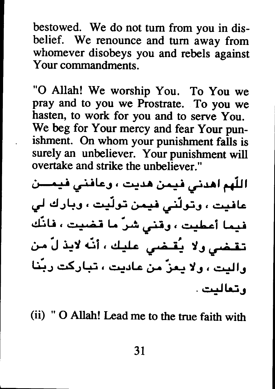bestowed. We do not turn from you in disbelief. We renounce and turn away from whomever disobeys you and rebels against Your commandments

"O Allah! We worship You. To You we pray and to you we Prostrate. To you we hasten, to work for you and to serve You. We beg for Your mercy and fear Your punishment. On whom your punishment falls is surely an unbeliever. Your punishment will overtake and strike the unbeliever."

اللَّهم أهدني فيمن هديت ، وعافني فيمسن عافیت ، وتولّنی فیمن تولّیت ، وبارك لی فيما أعطيت ، وقنى شرَ ما قضيت ، فانَّك تقضى ولا يُقضى عليك ، أنّه لايذ لّ من واليت ، ولا يعزّ من عاديت ، تباركت ربّنا وتعاليت .

(ii) " O Allah! Lead me to the true faith with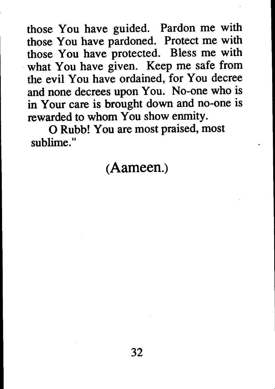those You have guided. Pardon me with those You have pardoned. Protect me with those You have protected. Bless me with what You have given. Keep me safe from the evil You have ordained, for You decree and none decrees upon You. No-one who is in Your care is brought down and no-one is rewarded to whom You show enmity.

o Rubb! You are most praised, most sublime."

#### (Aameen.)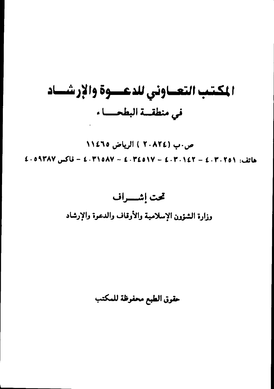### المكتب التعساوني للدعسوة والإرشساد في منطقة البطحــاء

ص.ب (٢٠٨٢٤ ) الرياض ١١٤٦٥  $E \cdot 0$ 4 °F (08 °F ) + 1 °F (08 °F ) + 1 °F (08 °F ) + 1 °F (08 °F ) + 1 °F ) + 2 °F (08 °F ) + 1 °F

### تحت إشهراف

وزارة الشؤون الإسلامية والأوقاف والدعوة والإرشاد

حقوق الطبع محفوظة للمكتب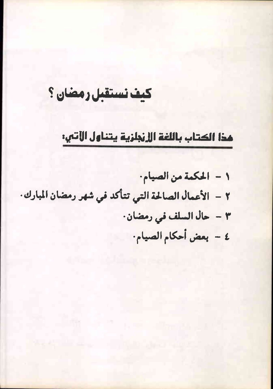### كيف نستقبل رمضان ؟

#### هذا الكتاب باللغة الإنجلزية يتناول الآتي:

١ - الحكمة من الصيام. ٢ - الأعمال الصالحة التي تتأكد في شهر رمضان المبارك. ٣ - حال السلف في رمضان. ٤ - بعض أحكام الصيام.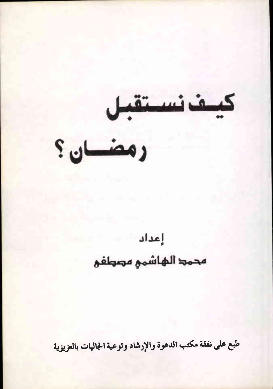كيف نستقبل

دمضان؟

### إعداد محمد الهاشمي مصطفى

طبع على نفقة مكتب الدعوة والإرشاد وتوعية الجاليات بالعزيزية